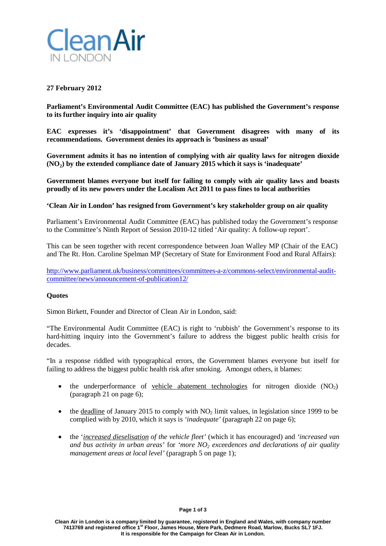

## **27 February 2012**

**Parliament's Environmental Audit Committee (EAC) has published the Government's response to its further inquiry into air quality**

**EAC expresses it's 'disappointment' that Government disagrees with many of its recommendations. Government denies its approach is 'business as usual'**

**Government admits it has no intention of complying with air quality laws for nitrogen dioxide (NO2) by the extended compliance date of January 2015 which it says is 'inadequate'**

**Government blames everyone but itself for failing to comply with air quality laws and boasts proudly of its new powers under the Localism Act 2011 to pass fines to local authorities**

### **'Clean Air in London' has resigned from Government's key stakeholder group on air quality**

Parliament's Environmental Audit Committee (EAC) has published today the Government's response to the Committee's Ninth Report of Session 2010-12 titled 'Air quality: A follow-up report'.

This can be seen together with recent correspondence between Joan Walley MP (Chair of the EAC) and The Rt. Hon. Caroline Spelman MP (Secretary of State for Environment Food and Rural Affairs):

[http://www.parliament.uk/business/committees/committees-a-z/commons-select/environmental-audit](http://www.parliament.uk/business/committees/committees-a-z/commons-select/environmental-audit-committee/news/announcement-of-publication12/)[committee/news/announcement-of-publication12/](http://www.parliament.uk/business/committees/committees-a-z/commons-select/environmental-audit-committee/news/announcement-of-publication12/)

#### **Quotes**

Simon Birkett, Founder and Director of Clean Air in London, said:

"The Environmental Audit Committee (EAC) is right to 'rubbish' the Government's response to its hard-hitting inquiry into the Government's failure to address the biggest public health crisis for decades.

"In a response riddled with typographical errors, the Government blames everyone but itself for failing to address the biggest public health risk after smoking. Amongst others, it blames:

- the underperformance of vehicle abatement technologies for nitrogen dioxide  $(NO<sub>2</sub>)$ (paragraph 21 on page 6);
- the deadline of January 2015 to comply with  $NO<sub>2</sub>$  limit values, in legislation since 1999 to be complied with by 2010, which it says is *'inadequate'* (paragraph 22 on page 6);
- the '*increased dieselisation of the vehicle fleet'* (which it has encouraged) and *'increased van and bus activity in urban areas'* for *'more NO2 exceedences and declarations of air quality management areas at local level'* (paragraph 5 on page 1);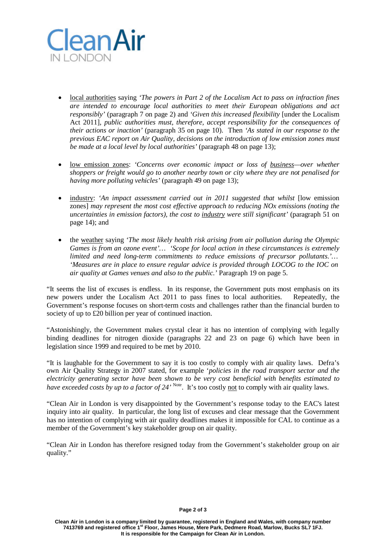

- local authorities saying *'The powers in Part 2 of the Localism Act to pass on infraction fines are intended to encourage local authorities to meet their European obligations and act responsibly'* (paragraph 7 on page 2) and *'Given this increased flexibility* [under the Localism Act 2011]*, public authorities must, therefore, accept responsibility for the consequences of their actions or inaction'* (paragraph 35 on page 10). Then *'As stated in our response to the previous EAC report on Air Quality, decisions on the introduction of low emission zones must be made at a local level by local authorities'* (paragraph 48 on page 13);
- low emission zones: *'Concerns over economic impact or loss of business—over whether shoppers or freight would go to another nearby town or city where they are not penalised for having more polluting vehicles'* (paragraph 49 on page 13);
- industry: *'An impact assessment carried out in 2011 suggested that whilst* [low emission zones] *may represent the most cost effective approach to reducing NOx emissions (noting the uncertainties in emission factors), the cost to industry were still significant'* (paragraph 51 on page 14); and
- the weather saying *'The most likely health risk arising from air pollution during the Olympic Games is from an ozone event'… 'Scope for local action in these circumstances is extremely limited and need long-term commitments to reduce emissions of precursor pollutants.'… 'Measures are in place to ensure regular advice is provided through LOCOG to the IOC on air quality at Games venues and also to the public.'* Paragraph 19 on page 5.

"It seems the list of excuses is endless. In its response, the Government puts most emphasis on its new powers under the Localism Act 2011 to pass fines to local authorities. Repeatedly, the Government's response focuses on short-term costs and challenges rather than the financial burden to society of up to £20 billion per year of continued inaction.

"Astonishingly, the Government makes crystal clear it has no intention of complying with legally binding deadlines for nitrogen dioxide (paragraphs 22 and 23 on page 6) which have been in legislation since 1999 and required to be met by 2010.

"It is laughable for the Government to say it is too costly to comply with air quality laws. Defra's own Air Quality Strategy in 2007 stated, for example '*policies in the road transport sector and the electricity generating sector have been shown to be very cost beneficial with benefits estimated to have exceeded costs by up to a factor of 24'* <sup>Note</sup>. It's too costly <u>not</u> to comply with air quality laws.

"Clean Air in London is very disappointed by the Government's response today to the EAC's latest inquiry into air quality. In particular, the long list of excuses and clear message that the Government has no intention of complying with air quality deadlines makes it impossible for CAL to continue as a member of the Government's key stakeholder group on air quality.

"Clean Air in London has therefore resigned today from the Government's stakeholder group on air quality."